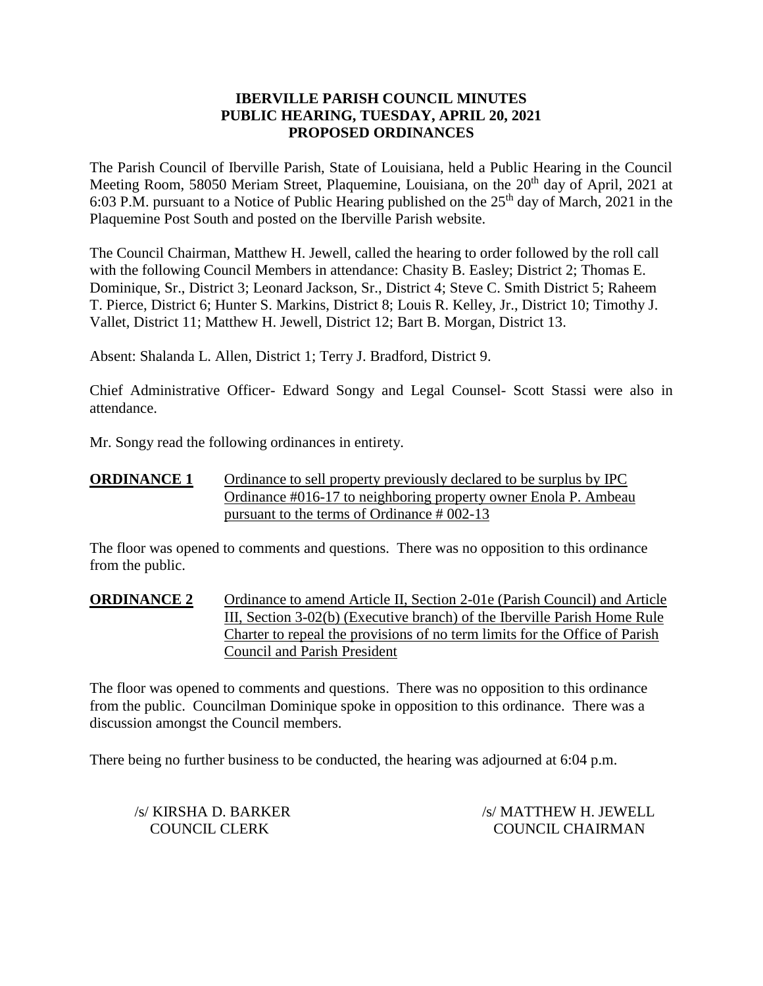## **IBERVILLE PARISH COUNCIL MINUTES PUBLIC HEARING, TUESDAY, APRIL 20, 2021 PROPOSED ORDINANCES**

The Parish Council of Iberville Parish, State of Louisiana, held a Public Hearing in the Council Meeting Room, 58050 Meriam Street, Plaquemine, Louisiana, on the 20<sup>th</sup> day of April, 2021 at 6:03 P.M. pursuant to a Notice of Public Hearing published on the  $25<sup>th</sup>$  day of March, 2021 in the Plaquemine Post South and posted on the Iberville Parish website.

The Council Chairman, Matthew H. Jewell, called the hearing to order followed by the roll call with the following Council Members in attendance: Chasity B. Easley; District 2; Thomas E. Dominique, Sr., District 3; Leonard Jackson, Sr., District 4; Steve C. Smith District 5; Raheem T. Pierce, District 6; Hunter S. Markins, District 8; Louis R. Kelley, Jr., District 10; Timothy J. Vallet, District 11; Matthew H. Jewell, District 12; Bart B. Morgan, District 13.

Absent: Shalanda L. Allen, District 1; Terry J. Bradford, District 9.

Chief Administrative Officer- Edward Songy and Legal Counsel- Scott Stassi were also in attendance.

Mr. Songy read the following ordinances in entirety.

**ORDINANCE 1** Ordinance to sell property previously declared to be surplus by IPC Ordinance #016-17 to neighboring property owner Enola P. Ambeau pursuant to the terms of Ordinance # 002-13

The floor was opened to comments and questions. There was no opposition to this ordinance from the public.

**ORDINANCE 2** Ordinance to amend Article II, Section 2-01e (Parish Council) and Article III, Section 3-02(b) (Executive branch) of the Iberville Parish Home Rule Charter to repeal the provisions of no term limits for the Office of Parish Council and Parish President

The floor was opened to comments and questions. There was no opposition to this ordinance from the public. Councilman Dominique spoke in opposition to this ordinance. There was a discussion amongst the Council members.

There being no further business to be conducted, the hearing was adjourned at 6:04 p.m.

/s/ KIRSHA D. BARKER /s/ MATTHEW H. JEWELL COUNCIL CLERK COUNCIL CHAIRMAN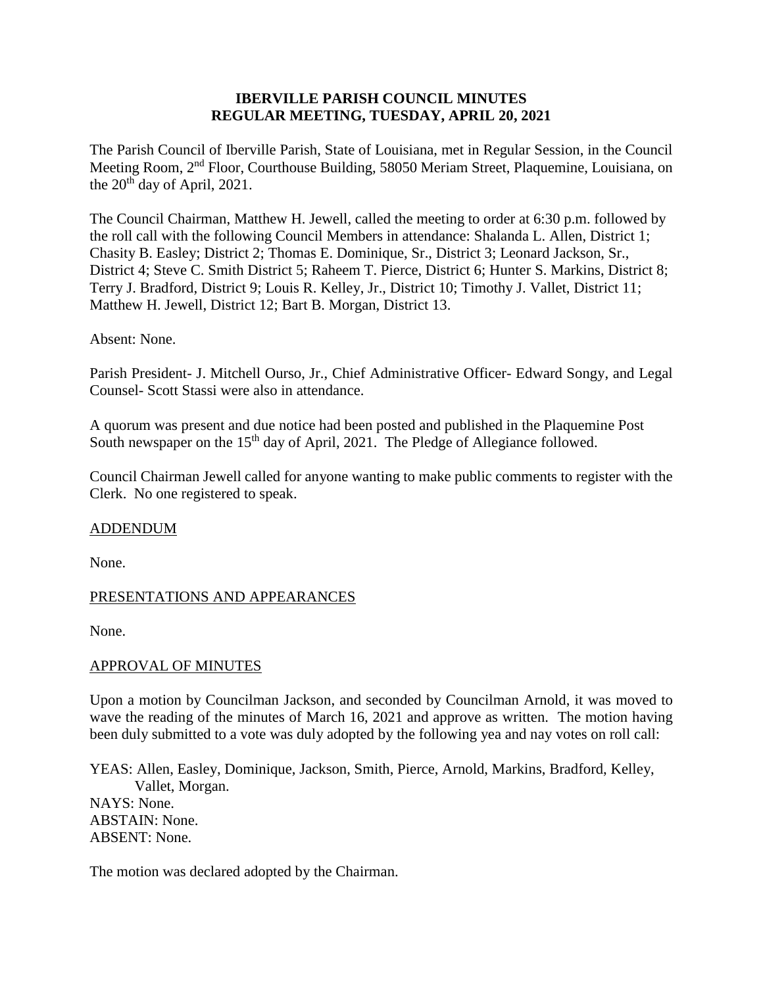### **IBERVILLE PARISH COUNCIL MINUTES REGULAR MEETING, TUESDAY, APRIL 20, 2021**

The Parish Council of Iberville Parish, State of Louisiana, met in Regular Session, in the Council Meeting Room, 2nd Floor, Courthouse Building, 58050 Meriam Street, Plaquemine, Louisiana, on the  $20^{th}$  day of April, 2021.

The Council Chairman, Matthew H. Jewell, called the meeting to order at 6:30 p.m. followed by the roll call with the following Council Members in attendance: Shalanda L. Allen, District 1; Chasity B. Easley; District 2; Thomas E. Dominique, Sr., District 3; Leonard Jackson, Sr., District 4; Steve C. Smith District 5; Raheem T. Pierce, District 6; Hunter S. Markins, District 8; Terry J. Bradford, District 9; Louis R. Kelley, Jr., District 10; Timothy J. Vallet, District 11; Matthew H. Jewell, District 12; Bart B. Morgan, District 13.

#### Absent: None.

Parish President- J. Mitchell Ourso, Jr., Chief Administrative Officer- Edward Songy, and Legal Counsel- Scott Stassi were also in attendance.

A quorum was present and due notice had been posted and published in the Plaquemine Post South newspaper on the 15<sup>th</sup> day of April, 2021. The Pledge of Allegiance followed.

Council Chairman Jewell called for anyone wanting to make public comments to register with the Clerk. No one registered to speak.

#### ADDENDUM

None.

#### PRESENTATIONS AND APPEARANCES

None.

#### APPROVAL OF MINUTES

Upon a motion by Councilman Jackson, and seconded by Councilman Arnold, it was moved to wave the reading of the minutes of March 16, 2021 and approve as written. The motion having been duly submitted to a vote was duly adopted by the following yea and nay votes on roll call:

YEAS: Allen, Easley, Dominique, Jackson, Smith, Pierce, Arnold, Markins, Bradford, Kelley, Vallet, Morgan. NAYS: None. ABSTAIN: None. ABSENT: None.

The motion was declared adopted by the Chairman.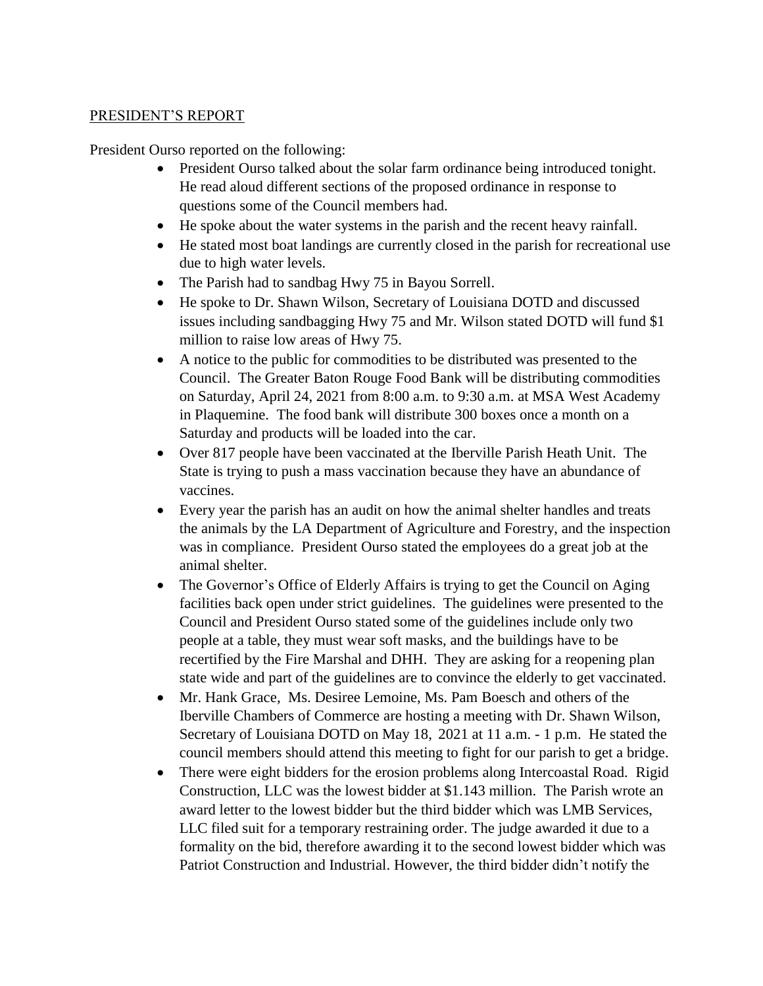## PRESIDENT'S REPORT

President Ourso reported on the following:

- President Ourso talked about the solar farm ordinance being introduced tonight. He read aloud different sections of the proposed ordinance in response to questions some of the Council members had.
- He spoke about the water systems in the parish and the recent heavy rainfall.
- He stated most boat landings are currently closed in the parish for recreational use due to high water levels.
- The Parish had to sandbag Hwy 75 in Bayou Sorrell.
- He spoke to Dr. Shawn Wilson, Secretary of Louisiana DOTD and discussed issues including sandbagging Hwy 75 and Mr. Wilson stated DOTD will fund \$1 million to raise low areas of Hwy 75.
- A notice to the public for commodities to be distributed was presented to the Council. The Greater Baton Rouge Food Bank will be distributing commodities on Saturday, April 24, 2021 from 8:00 a.m. to 9:30 a.m. at MSA West Academy in Plaquemine. The food bank will distribute 300 boxes once a month on a Saturday and products will be loaded into the car.
- Over 817 people have been vaccinated at the Iberville Parish Heath Unit. The State is trying to push a mass vaccination because they have an abundance of vaccines.
- Every year the parish has an audit on how the animal shelter handles and treats the animals by the LA Department of Agriculture and Forestry, and the inspection was in compliance. President Ourso stated the employees do a great job at the animal shelter.
- The Governor's Office of Elderly Affairs is trying to get the Council on Aging facilities back open under strict guidelines. The guidelines were presented to the Council and President Ourso stated some of the guidelines include only two people at a table, they must wear soft masks, and the buildings have to be recertified by the Fire Marshal and DHH. They are asking for a reopening plan state wide and part of the guidelines are to convince the elderly to get vaccinated.
- Mr. Hank Grace, Ms. Desiree Lemoine, Ms. Pam Boesch and others of the Iberville Chambers of Commerce are hosting a meeting with Dr. Shawn Wilson, Secretary of Louisiana DOTD on May 18, 2021 at 11 a.m. - 1 p.m. He stated the council members should attend this meeting to fight for our parish to get a bridge.
- There were eight bidders for the erosion problems along Intercoastal Road. Rigid Construction, LLC was the lowest bidder at \$1.143 million. The Parish wrote an award letter to the lowest bidder but the third bidder which was LMB Services, LLC filed suit for a temporary restraining order. The judge awarded it due to a formality on the bid, therefore awarding it to the second lowest bidder which was Patriot Construction and Industrial. However, the third bidder didn't notify the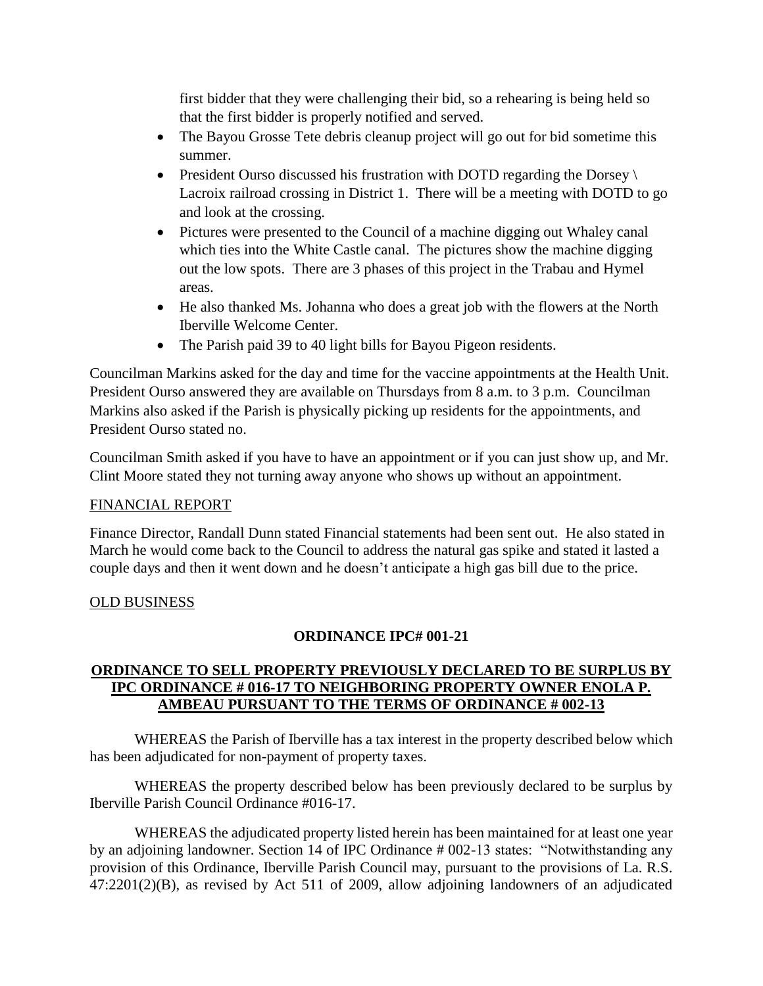first bidder that they were challenging their bid, so a rehearing is being held so that the first bidder is properly notified and served.

- The Bayou Grosse Tete debris cleanup project will go out for bid sometime this summer.
- President Ourso discussed his frustration with DOTD regarding the Dorsey \ Lacroix railroad crossing in District 1. There will be a meeting with DOTD to go and look at the crossing.
- Pictures were presented to the Council of a machine digging out Whaley canal which ties into the White Castle canal. The pictures show the machine digging out the low spots. There are 3 phases of this project in the Trabau and Hymel areas.
- He also thanked Ms. Johanna who does a great job with the flowers at the North Iberville Welcome Center.
- The Parish paid 39 to 40 light bills for Bayou Pigeon residents.

Councilman Markins asked for the day and time for the vaccine appointments at the Health Unit. President Ourso answered they are available on Thursdays from 8 a.m. to 3 p.m. Councilman Markins also asked if the Parish is physically picking up residents for the appointments, and President Ourso stated no.

Councilman Smith asked if you have to have an appointment or if you can just show up, and Mr. Clint Moore stated they not turning away anyone who shows up without an appointment.

# FINANCIAL REPORT

Finance Director, Randall Dunn stated Financial statements had been sent out. He also stated in March he would come back to the Council to address the natural gas spike and stated it lasted a couple days and then it went down and he doesn't anticipate a high gas bill due to the price.

# OLD BUSINESS

# **ORDINANCE IPC# 001-21**

# **ORDINANCE TO SELL PROPERTY PREVIOUSLY DECLARED TO BE SURPLUS BY IPC ORDINANCE # 016-17 TO NEIGHBORING PROPERTY OWNER ENOLA P. AMBEAU PURSUANT TO THE TERMS OF ORDINANCE # 002-13**

WHEREAS the Parish of Iberville has a tax interest in the property described below which has been adjudicated for non-payment of property taxes.

WHEREAS the property described below has been previously declared to be surplus by Iberville Parish Council Ordinance #016-17.

WHEREAS the adjudicated property listed herein has been maintained for at least one year by an adjoining landowner. Section 14 of IPC Ordinance # 002-13 states: "Notwithstanding any provision of this Ordinance, Iberville Parish Council may, pursuant to the provisions of La. R.S. 47:2201(2)(B), as revised by Act 511 of 2009, allow adjoining landowners of an adjudicated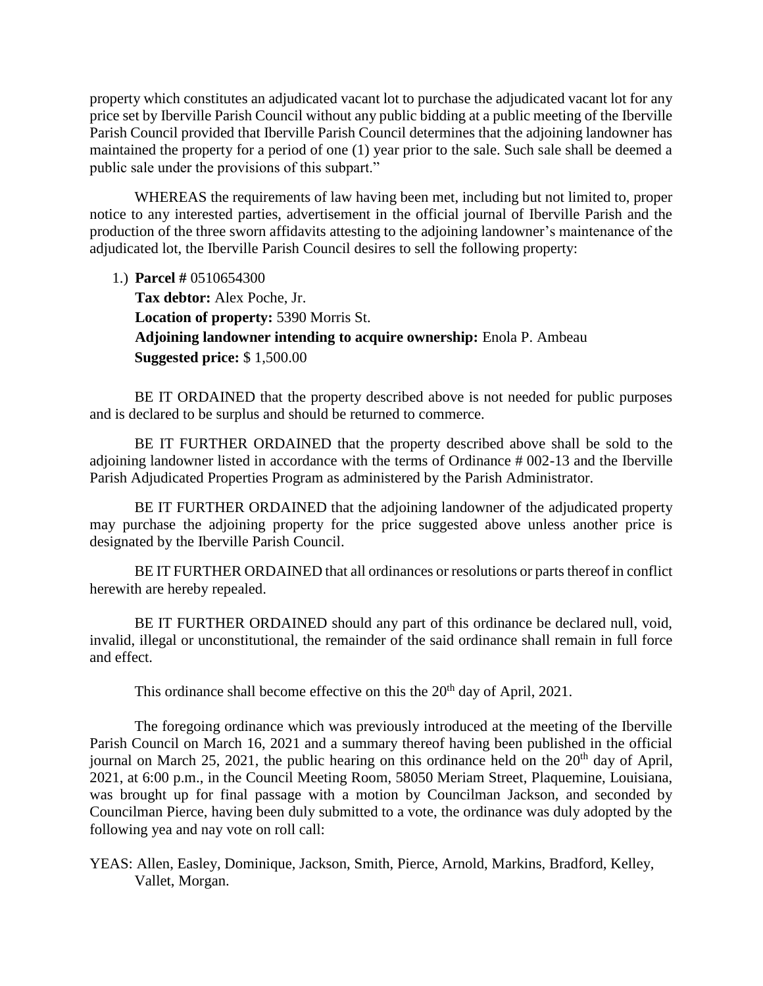property which constitutes an adjudicated vacant lot to purchase the adjudicated vacant lot for any price set by Iberville Parish Council without any public bidding at a public meeting of the Iberville Parish Council provided that Iberville Parish Council determines that the adjoining landowner has maintained the property for a period of one (1) year prior to the sale. Such sale shall be deemed a public sale under the provisions of this subpart."

WHEREAS the requirements of law having been met, including but not limited to, proper notice to any interested parties, advertisement in the official journal of Iberville Parish and the production of the three sworn affidavits attesting to the adjoining landowner's maintenance of the adjudicated lot, the Iberville Parish Council desires to sell the following property:

1.) **Parcel #** 0510654300

**Tax debtor:** Alex Poche, Jr. **Location of property:** 5390 Morris St. **Adjoining landowner intending to acquire ownership:** Enola P. Ambeau **Suggested price:** \$ 1,500.00

BE IT ORDAINED that the property described above is not needed for public purposes and is declared to be surplus and should be returned to commerce.

BE IT FURTHER ORDAINED that the property described above shall be sold to the adjoining landowner listed in accordance with the terms of Ordinance # 002-13 and the Iberville Parish Adjudicated Properties Program as administered by the Parish Administrator.

BE IT FURTHER ORDAINED that the adjoining landowner of the adjudicated property may purchase the adjoining property for the price suggested above unless another price is designated by the Iberville Parish Council.

BE IT FURTHER ORDAINED that all ordinances or resolutions or parts thereof in conflict herewith are hereby repealed.

BE IT FURTHER ORDAINED should any part of this ordinance be declared null, void, invalid, illegal or unconstitutional, the remainder of the said ordinance shall remain in full force and effect.

This ordinance shall become effective on this the  $20<sup>th</sup>$  day of April, 2021.

The foregoing ordinance which was previously introduced at the meeting of the Iberville Parish Council on March 16, 2021 and a summary thereof having been published in the official journal on March 25, 2021, the public hearing on this ordinance held on the  $20<sup>th</sup>$  day of April, 2021, at 6:00 p.m., in the Council Meeting Room, 58050 Meriam Street, Plaquemine, Louisiana, was brought up for final passage with a motion by Councilman Jackson, and seconded by Councilman Pierce, having been duly submitted to a vote, the ordinance was duly adopted by the following yea and nay vote on roll call:

YEAS: Allen, Easley, Dominique, Jackson, Smith, Pierce, Arnold, Markins, Bradford, Kelley, Vallet, Morgan.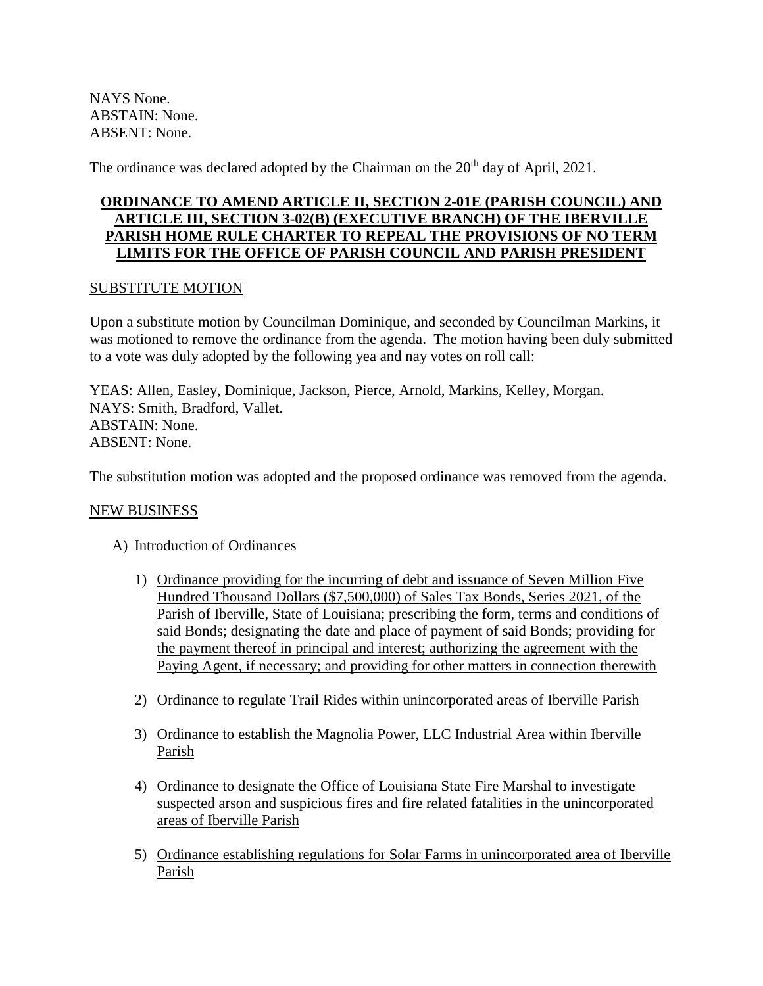NAYS None. ABSTAIN: None. ABSENT: None.

The ordinance was declared adopted by the Chairman on the 20<sup>th</sup> day of April, 2021.

# **ORDINANCE TO AMEND ARTICLE II, SECTION 2-01E (PARISH COUNCIL) AND ARTICLE III, SECTION 3-02(B) (EXECUTIVE BRANCH) OF THE IBERVILLE PARISH HOME RULE CHARTER TO REPEAL THE PROVISIONS OF NO TERM LIMITS FOR THE OFFICE OF PARISH COUNCIL AND PARISH PRESIDENT**

### SUBSTITUTE MOTION

Upon a substitute motion by Councilman Dominique, and seconded by Councilman Markins, it was motioned to remove the ordinance from the agenda. The motion having been duly submitted to a vote was duly adopted by the following yea and nay votes on roll call:

YEAS: Allen, Easley, Dominique, Jackson, Pierce, Arnold, Markins, Kelley, Morgan. NAYS: Smith, Bradford, Vallet. ABSTAIN: None. ABSENT: None.

The substitution motion was adopted and the proposed ordinance was removed from the agenda.

#### NEW BUSINESS

- A) Introduction of Ordinances
	- 1) Ordinance providing for the incurring of debt and issuance of Seven Million Five Hundred Thousand Dollars (\$7,500,000) of Sales Tax Bonds, Series 2021, of the Parish of Iberville, State of Louisiana; prescribing the form, terms and conditions of said Bonds; designating the date and place of payment of said Bonds; providing for the payment thereof in principal and interest; authorizing the agreement with the Paying Agent, if necessary; and providing for other matters in connection therewith
	- 2) Ordinance to regulate Trail Rides within unincorporated areas of Iberville Parish
	- 3) Ordinance to establish the Magnolia Power, LLC Industrial Area within Iberville Parish
	- 4) Ordinance to designate the Office of Louisiana State Fire Marshal to investigate suspected arson and suspicious fires and fire related fatalities in the unincorporated areas of Iberville Parish
	- 5) Ordinance establishing regulations for Solar Farms in unincorporated area of Iberville Parish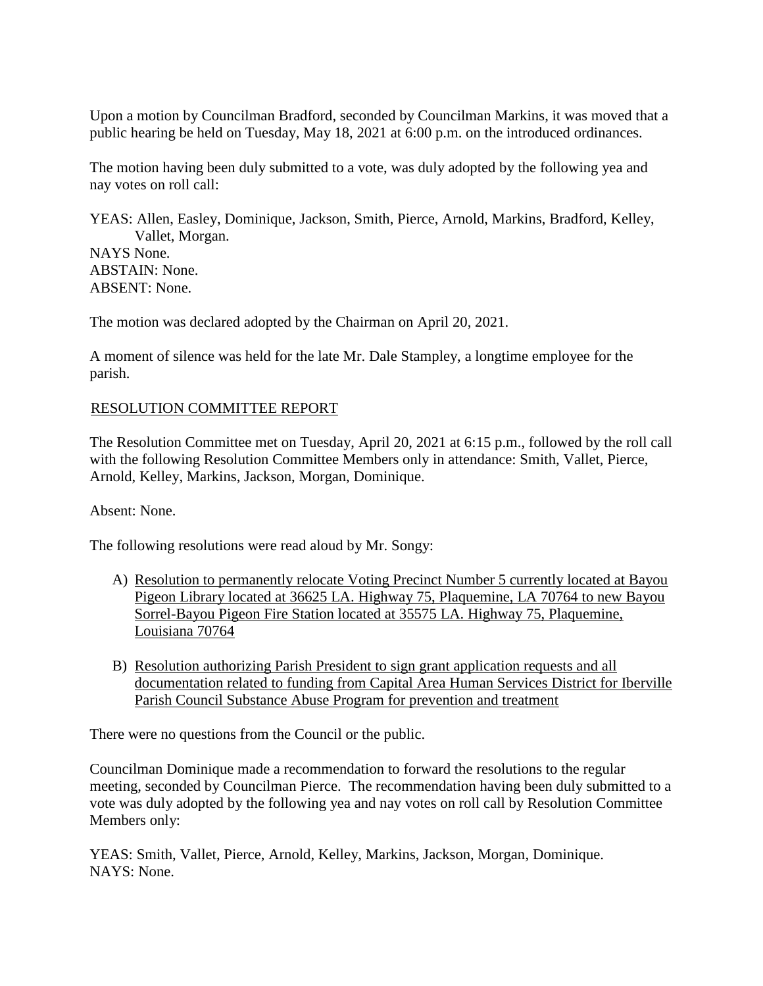Upon a motion by Councilman Bradford, seconded by Councilman Markins, it was moved that a public hearing be held on Tuesday, May 18, 2021 at 6:00 p.m. on the introduced ordinances.

The motion having been duly submitted to a vote, was duly adopted by the following yea and nay votes on roll call:

YEAS: Allen, Easley, Dominique, Jackson, Smith, Pierce, Arnold, Markins, Bradford, Kelley, Vallet, Morgan. NAYS None. ABSTAIN: None. ABSENT: None.

The motion was declared adopted by the Chairman on April 20, 2021.

A moment of silence was held for the late Mr. Dale Stampley, a longtime employee for the parish.

#### RESOLUTION COMMITTEE REPORT

The Resolution Committee met on Tuesday, April 20, 2021 at 6:15 p.m., followed by the roll call with the following Resolution Committee Members only in attendance: Smith, Vallet, Pierce, Arnold, Kelley, Markins, Jackson, Morgan, Dominique.

Absent: None.

The following resolutions were read aloud by Mr. Songy:

- A) Resolution to permanently relocate Voting Precinct Number 5 currently located at Bayou Pigeon Library located at 36625 LA. Highway 75, Plaquemine, LA 70764 to new Bayou Sorrel-Bayou Pigeon Fire Station located at 35575 LA. Highway 75, Plaquemine, Louisiana 70764
- B) Resolution authorizing Parish President to sign grant application requests and all documentation related to funding from Capital Area Human Services District for Iberville Parish Council Substance Abuse Program for prevention and treatment

There were no questions from the Council or the public.

Councilman Dominique made a recommendation to forward the resolutions to the regular meeting, seconded by Councilman Pierce. The recommendation having been duly submitted to a vote was duly adopted by the following yea and nay votes on roll call by Resolution Committee Members only:

YEAS: Smith, Vallet, Pierce, Arnold, Kelley, Markins, Jackson, Morgan, Dominique. NAYS: None.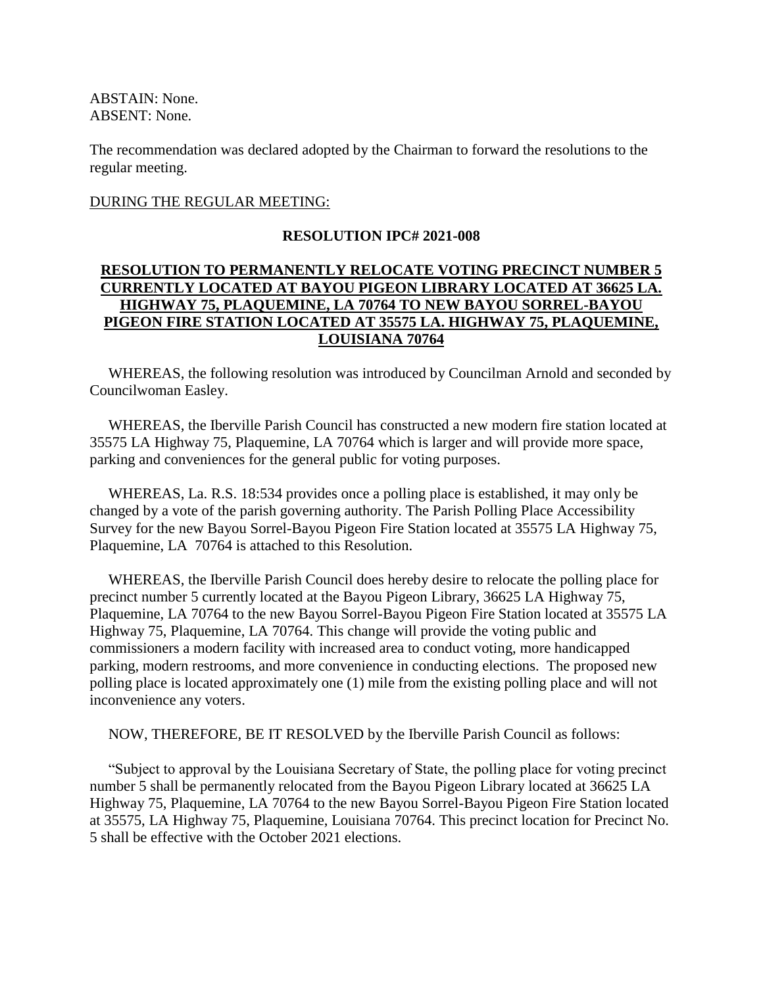ABSTAIN: None. ABSENT: None.

The recommendation was declared adopted by the Chairman to forward the resolutions to the regular meeting.

#### DURING THE REGULAR MEETING:

#### **RESOLUTION IPC# 2021-008**

## **RESOLUTION TO PERMANENTLY RELOCATE VOTING PRECINCT NUMBER 5 CURRENTLY LOCATED AT BAYOU PIGEON LIBRARY LOCATED AT 36625 LA. HIGHWAY 75, PLAQUEMINE, LA 70764 TO NEW BAYOU SORREL-BAYOU PIGEON FIRE STATION LOCATED AT 35575 LA. HIGHWAY 75, PLAQUEMINE, LOUISIANA 70764**

 WHEREAS, the following resolution was introduced by Councilman Arnold and seconded by Councilwoman Easley.

 WHEREAS, the Iberville Parish Council has constructed a new modern fire station located at 35575 LA Highway 75, Plaquemine, LA 70764 which is larger and will provide more space, parking and conveniences for the general public for voting purposes.

 WHEREAS, La. R.S. 18:534 provides once a polling place is established, it may only be changed by a vote of the parish governing authority. The Parish Polling Place Accessibility Survey for the new Bayou Sorrel-Bayou Pigeon Fire Station located at 35575 LA Highway 75, Plaquemine, LA 70764 is attached to this Resolution.

 WHEREAS, the Iberville Parish Council does hereby desire to relocate the polling place for precinct number 5 currently located at the Bayou Pigeon Library, 36625 LA Highway 75, Plaquemine, LA 70764 to the new Bayou Sorrel-Bayou Pigeon Fire Station located at 35575 LA Highway 75, Plaquemine, LA 70764. This change will provide the voting public and commissioners a modern facility with increased area to conduct voting, more handicapped parking, modern restrooms, and more convenience in conducting elections. The proposed new polling place is located approximately one (1) mile from the existing polling place and will not inconvenience any voters.

NOW, THEREFORE, BE IT RESOLVED by the Iberville Parish Council as follows:

 "Subject to approval by the Louisiana Secretary of State, the polling place for voting precinct number 5 shall be permanently relocated from the Bayou Pigeon Library located at 36625 LA Highway 75, Plaquemine, LA 70764 to the new Bayou Sorrel-Bayou Pigeon Fire Station located at 35575, LA Highway 75, Plaquemine, Louisiana 70764. This precinct location for Precinct No. 5 shall be effective with the October 2021 elections.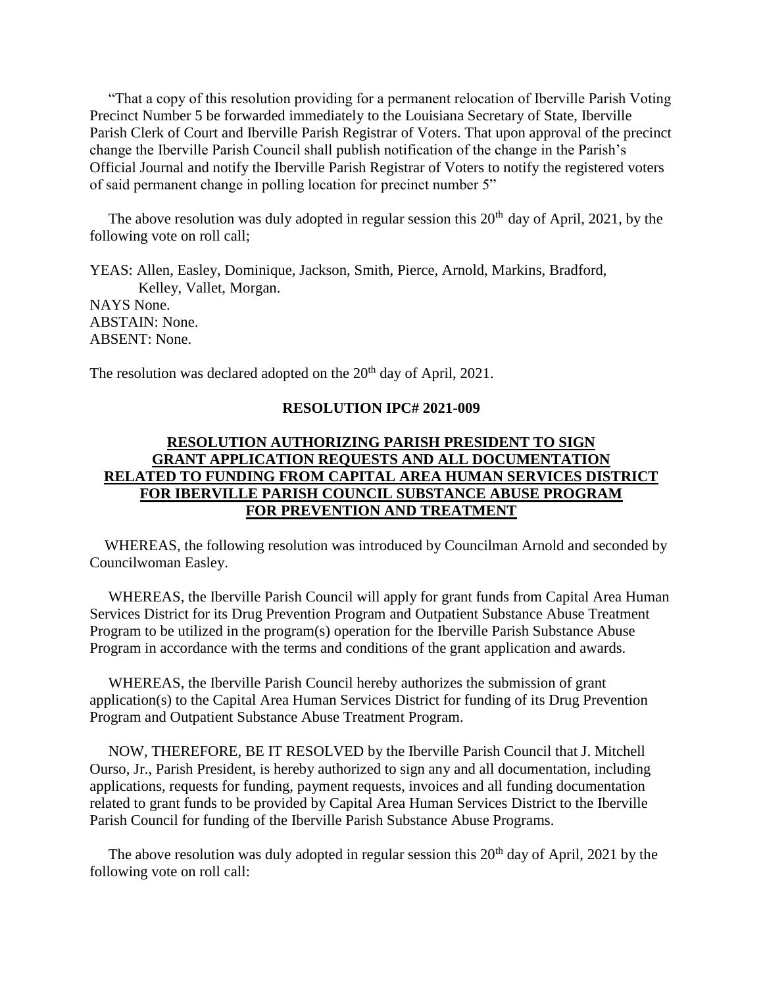"That a copy of this resolution providing for a permanent relocation of Iberville Parish Voting Precinct Number 5 be forwarded immediately to the Louisiana Secretary of State, Iberville Parish Clerk of Court and Iberville Parish Registrar of Voters. That upon approval of the precinct change the Iberville Parish Council shall publish notification of the change in the Parish's Official Journal and notify the Iberville Parish Registrar of Voters to notify the registered voters of said permanent change in polling location for precinct number 5"

The above resolution was duly adopted in regular session this  $20<sup>th</sup>$  day of April, 2021, by the following vote on roll call;

YEAS: Allen, Easley, Dominique, Jackson, Smith, Pierce, Arnold, Markins, Bradford, Kelley, Vallet, Morgan. NAYS None. ABSTAIN: None. ABSENT: None.

The resolution was declared adopted on the  $20<sup>th</sup>$  day of April, 2021.

#### **RESOLUTION IPC# 2021-009**

# **RESOLUTION AUTHORIZING PARISH PRESIDENT TO SIGN GRANT APPLICATION REQUESTS AND ALL DOCUMENTATION RELATED TO FUNDING FROM CAPITAL AREA HUMAN SERVICES DISTRICT FOR IBERVILLE PARISH COUNCIL SUBSTANCE ABUSE PROGRAM FOR PREVENTION AND TREATMENT**

 WHEREAS, the following resolution was introduced by Councilman Arnold and seconded by Councilwoman Easley.

 WHEREAS, the Iberville Parish Council will apply for grant funds from Capital Area Human Services District for its Drug Prevention Program and Outpatient Substance Abuse Treatment Program to be utilized in the program(s) operation for the Iberville Parish Substance Abuse Program in accordance with the terms and conditions of the grant application and awards.

 WHEREAS, the Iberville Parish Council hereby authorizes the submission of grant application(s) to the Capital Area Human Services District for funding of its Drug Prevention Program and Outpatient Substance Abuse Treatment Program.

 NOW, THEREFORE, BE IT RESOLVED by the Iberville Parish Council that J. Mitchell Ourso, Jr., Parish President, is hereby authorized to sign any and all documentation, including applications, requests for funding, payment requests, invoices and all funding documentation related to grant funds to be provided by Capital Area Human Services District to the Iberville Parish Council for funding of the Iberville Parish Substance Abuse Programs.

The above resolution was duly adopted in regular session this  $20<sup>th</sup>$  day of April, 2021 by the following vote on roll call: